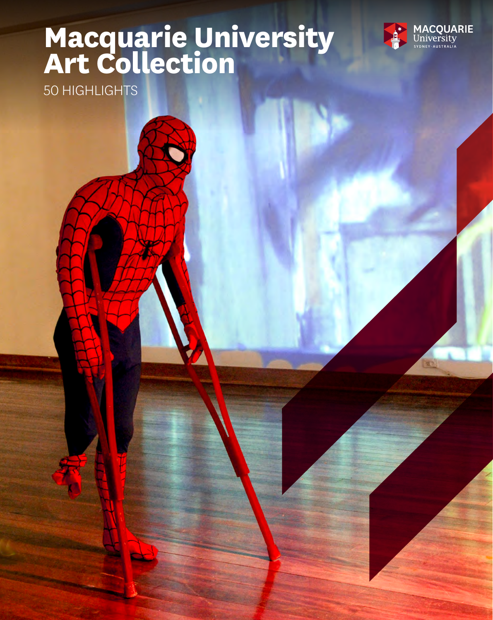## **Macquarie University Art Collection**



50 HIGHLIGHTS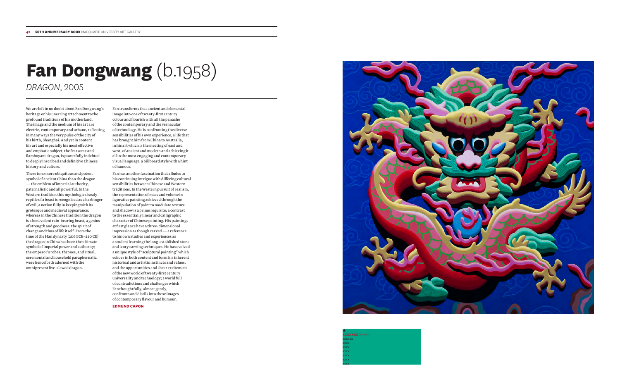## **Fan Dongwang** (b.1958) *DRAGON*, 2005

We are left in no doubt about Fan Dongwang's heritage or his unerring attachment to the profound traditions of his motherland. The image and the medium of his art are electric, contemporary and urbane, reflecting in many ways the very pulse of the city of his birth, Shanghai. And yet in content his art and especially his most effective and emphatic subject, the fearsome and flamboyant dragon, is powerfully indebted to deeply inscribed and definitive Chinese history and culture.

There is no more ubiquitous and potent symbol of ancient China than the dragon — the emblem of imperial authority, paternalistic and all powerful. In the Western tradition this mythological scaly reptile of a beast is recognised as a harbinger of evil, a notion fully in keeping with its grotesque and medieval appearance; whereas in the Chinese tradition the dragon is a benevolent rain-bearing beast, a genius of strength and goodness, the spirit of change and thus of life itself. From the time of the Han dynasty (206 BCE–220 CE) the dragon in China has been the ultimate symbol of imperial power and authority; the emperor's robes, thrones, and ritual, ceremonial and household paraphernalia were henceforth adorned with the omnipresent five-clawed dragon.

Fan transforms that ancient and elemental image into one of twenty-first century colour and flourish with all the panache of the contemporary and the vernacular of technology. He is confronting the diverse sensibilities of his own experience, a life that has brought him from China to Australia, in his art which is the meeting of east and west, of ancient and modern and achieving it all in the most engaging and contemporary visual language, a billboard style with a hint of humour.

Fan has another fascination that alludes to his continuing intrigue with differing cultural sensibilities between Chinese and Western traditions. In the Western pursuit of realism, the representation of mass and volume in figurative painting achieved through the manipulation of paint to modulate texture and shadow is a prime requisite; a contrast to the essentially linear and calligraphic character of Chinese painting. His paintings at first glance have a three-dimensional impression as though carved — a reference to his own studies and experiences as a student learning the long-established stone and ivory carving techniques. He has evolved a unique style of "sculptural painting" which echoes in both content and form his inherent historical and artistic instincts and values, and the opportunities and sheer excitement of the new world of twenty-first century universality and technology; a world full of contradictions and challenges which Fan thoughtfully, almost gently, confronts and distils into these images of contemporary flavour and humour.

**EDMUND CAPON**